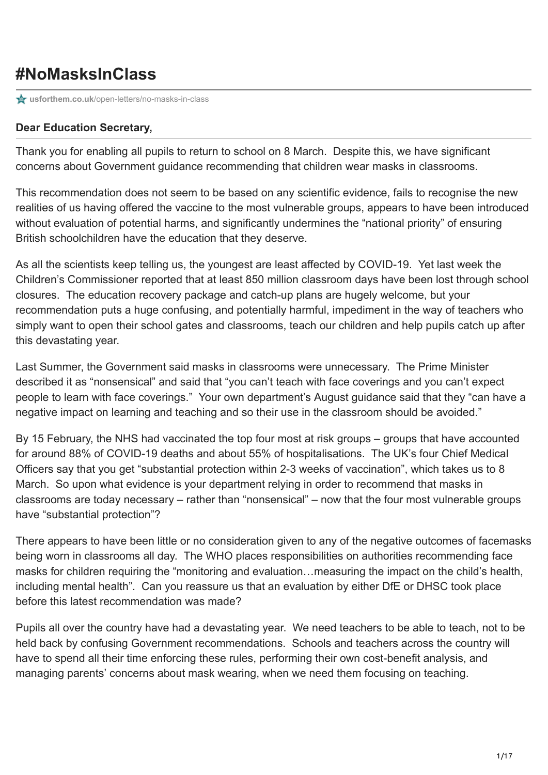## **#NoMasksInClass**

**for usforthem.co.uk**[/open-letters/no-masks-in-class](https://usforthem.co.uk/open-letters/no-masks-in-class/)

## **Dear Education Secretary,**

Thank you for enabling all pupils to return to school on 8 March. Despite this, we have significant concerns about Government guidance recommending that children wear masks in classrooms.

This recommendation does not seem to be based on any scientific evidence, fails to recognise the new realities of us having offered the vaccine to the most vulnerable groups, appears to have been introduced without evaluation of potential harms, and significantly undermines the "national priority" of ensuring British schoolchildren have the education that they deserve.

As all the scientists keep telling us, the youngest are least affected by COVID-19. Yet last week the Children's Commissioner reported that at least 850 million classroom days have been lost through school closures. The education recovery package and catch-up plans are hugely welcome, but your recommendation puts a huge confusing, and potentially harmful, impediment in the way of teachers who simply want to open their school gates and classrooms, teach our children and help pupils catch up after this devastating year.

Last Summer, the Government said masks in classrooms were unnecessary. The Prime Minister described it as "nonsensical" and said that "you can't teach with face coverings and you can't expect people to learn with face coverings." Your own department's August guidance said that they "can have a negative impact on learning and teaching and so their use in the classroom should be avoided."

By 15 February, the NHS had vaccinated the top four most at risk groups – groups that have accounted for around 88% of COVID-19 deaths and about 55% of hospitalisations. The UK's four Chief Medical Officers say that you get "substantial protection within 2-3 weeks of vaccination", which takes us to 8 March. So upon what evidence is your department relying in order to recommend that masks in classrooms are today necessary – rather than "nonsensical" – now that the four most vulnerable groups have "substantial protection"?

There appears to have been little or no consideration given to any of the negative outcomes of facemasks being worn in classrooms all day. The WHO places responsibilities on authorities recommending face masks for children requiring the "monitoring and evaluation…measuring the impact on the child's health, including mental health". Can you reassure us that an evaluation by either DfE or DHSC took place before this latest recommendation was made?

Pupils all over the country have had a devastating year. We need teachers to be able to teach, not to be held back by confusing Government recommendations. Schools and teachers across the country will have to spend all their time enforcing these rules, performing their own cost-benefit analysis, and managing parents' concerns about mask wearing, when we need them focusing on teaching.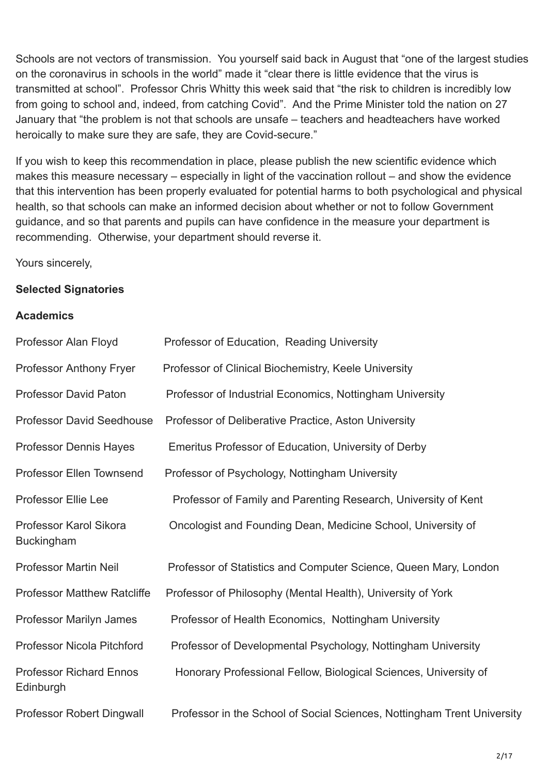Schools are not vectors of transmission. You yourself said back in August that "one of the largest studies on the coronavirus in schools in the world" made it "clear there is little evidence that the virus is transmitted at school". Professor Chris Whitty this week said that "the risk to children is incredibly low from going to school and, indeed, from catching Covid". And the Prime Minister told the nation on 27 January that "the problem is not that schools are unsafe – teachers and headteachers have worked heroically to make sure they are safe, they are Covid-secure."

If you wish to keep this recommendation in place, please publish the new scientific evidence which makes this measure necessary – especially in light of the vaccination rollout – and show the evidence that this intervention has been properly evaluated for potential harms to both psychological and physical health, so that schools can make an informed decision about whether or not to follow Government guidance, and so that parents and pupils can have confidence in the measure your department is recommending. Otherwise, your department should reverse it.

Yours sincerely,

## **Selected Signatories**

## **Academics**

| Professor Alan Floyd                        | Professor of Education, Reading University                              |
|---------------------------------------------|-------------------------------------------------------------------------|
| Professor Anthony Fryer                     | Professor of Clinical Biochemistry, Keele University                    |
| <b>Professor David Paton</b>                | Professor of Industrial Economics, Nottingham University                |
| <b>Professor David Seedhouse</b>            | Professor of Deliberative Practice, Aston University                    |
| <b>Professor Dennis Hayes</b>               | Emeritus Professor of Education, University of Derby                    |
| Professor Ellen Townsend                    | Professor of Psychology, Nottingham University                          |
| <b>Professor Ellie Lee</b>                  | Professor of Family and Parenting Research, University of Kent          |
| Professor Karol Sikora<br><b>Buckingham</b> | Oncologist and Founding Dean, Medicine School, University of            |
| <b>Professor Martin Neil</b>                | Professor of Statistics and Computer Science, Queen Mary, London        |
| <b>Professor Matthew Ratcliffe</b>          | Professor of Philosophy (Mental Health), University of York             |
| Professor Marilyn James                     | Professor of Health Economics, Nottingham University                    |
| <b>Professor Nicola Pitchford</b>           | Professor of Developmental Psychology, Nottingham University            |
| <b>Professor Richard Ennos</b><br>Edinburgh | Honorary Professional Fellow, Biological Sciences, University of        |
| Professor Robert Dingwall                   | Professor in the School of Social Sciences, Nottingham Trent University |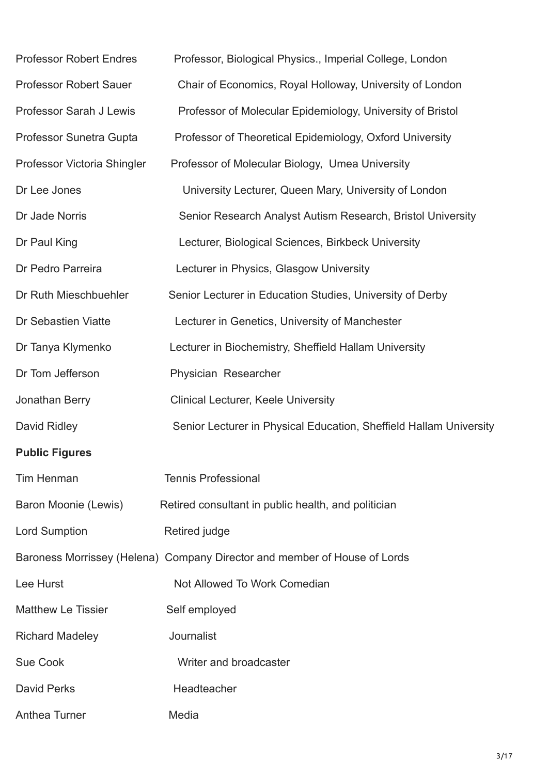| <b>Professor Robert Endres</b> | Professor, Biological Physics., Imperial College, London                  |
|--------------------------------|---------------------------------------------------------------------------|
| <b>Professor Robert Sauer</b>  | Chair of Economics, Royal Holloway, University of London                  |
| Professor Sarah J Lewis        | Professor of Molecular Epidemiology, University of Bristol                |
| Professor Sunetra Gupta        | Professor of Theoretical Epidemiology, Oxford University                  |
| Professor Victoria Shingler    | Professor of Molecular Biology, Umea University                           |
| Dr Lee Jones                   | University Lecturer, Queen Mary, University of London                     |
| Dr Jade Norris                 | Senior Research Analyst Autism Research, Bristol University               |
| Dr Paul King                   | Lecturer, Biological Sciences, Birkbeck University                        |
| Dr Pedro Parreira              | Lecturer in Physics, Glasgow University                                   |
| Dr Ruth Mieschbuehler          | Senior Lecturer in Education Studies, University of Derby                 |
| Dr Sebastien Viatte            | Lecturer in Genetics, University of Manchester                            |
| Dr Tanya Klymenko              | Lecturer in Biochemistry, Sheffield Hallam University                     |
| Dr Tom Jefferson               | Physician Researcher                                                      |
| Jonathan Berry                 | <b>Clinical Lecturer, Keele University</b>                                |
| David Ridley                   | Senior Lecturer in Physical Education, Sheffield Hallam University        |
| <b>Public Figures</b>          |                                                                           |
| <b>Tim Henman</b>              | <b>Tennis Professional</b>                                                |
| Baron Moonie (Lewis)           | Retired consultant in public health, and politician                       |
| <b>Lord Sumption</b>           | Retired judge                                                             |
|                                | Baroness Morrissey (Helena) Company Director and member of House of Lords |
| Lee Hurst                      | Not Allowed To Work Comedian                                              |
| <b>Matthew Le Tissier</b>      | Self employed                                                             |
| <b>Richard Madeley</b>         | Journalist                                                                |
| <b>Sue Cook</b>                | Writer and broadcaster                                                    |
| <b>David Perks</b>             | Headteacher                                                               |
| Anthea Turner                  | Media                                                                     |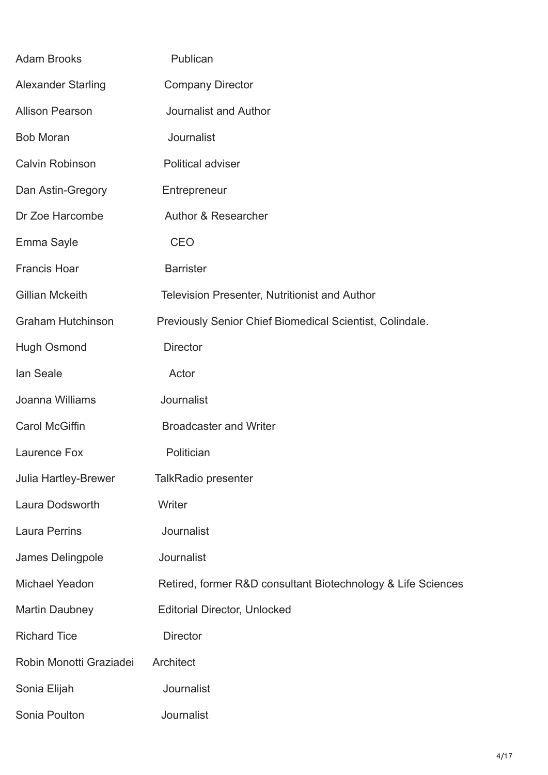| <b>Adam Brooks</b>        | Publican                                                     |
|---------------------------|--------------------------------------------------------------|
| <b>Alexander Starling</b> | <b>Company Director</b>                                      |
| <b>Allison Pearson</b>    | Journalist and Author                                        |
| <b>Bob Moran</b>          | Journalist                                                   |
| <b>Calvin Robinson</b>    | <b>Political adviser</b>                                     |
| Dan Astin-Gregory         | Entrepreneur                                                 |
| Dr Zoe Harcombe           | Author & Researcher                                          |
| Emma Sayle                | <b>CEO</b>                                                   |
| <b>Francis Hoar</b>       | <b>Barrister</b>                                             |
| <b>Gillian Mckeith</b>    | <b>Television Presenter, Nutritionist and Author</b>         |
| <b>Graham Hutchinson</b>  | Previously Senior Chief Biomedical Scientist, Colindale.     |
| <b>Hugh Osmond</b>        | <b>Director</b>                                              |
| lan Seale                 | Actor                                                        |
| Joanna Williams           | Journalist                                                   |
| <b>Carol McGiffin</b>     | <b>Broadcaster and Writer</b>                                |
| Laurence Fox              | Politician                                                   |
| Julia Hartley-Brewer      | <b>TalkRadio presenter</b>                                   |
| Laura Dodsworth           | Writer                                                       |
| <b>Laura Perrins</b>      | Journalist                                                   |
| James Delingpole          | Journalist                                                   |
| Michael Yeadon            | Retired, former R&D consultant Biotechnology & Life Sciences |
| <b>Martin Daubney</b>     | <b>Editorial Director, Unlocked</b>                          |
| <b>Richard Tice</b>       | <b>Director</b>                                              |
| Robin Monotti Graziadei   | Architect                                                    |
| Sonia Elijah              | Journalist                                                   |
| Sonia Poulton             | Journalist                                                   |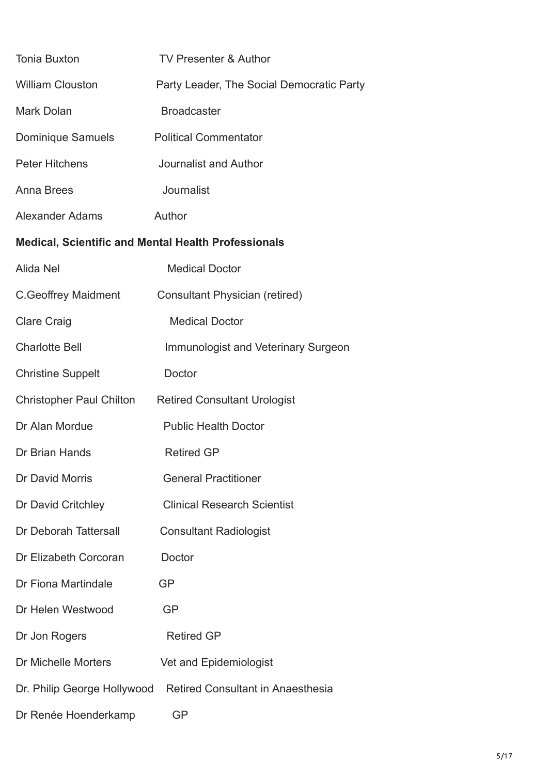| <b>Tonia Buxton</b>                                 | <b>TV Presenter &amp; Author</b>           |  |
|-----------------------------------------------------|--------------------------------------------|--|
| <b>William Clouston</b>                             | Party Leader, The Social Democratic Party  |  |
| <b>Mark Dolan</b>                                   | <b>Broadcaster</b>                         |  |
| <b>Dominique Samuels</b>                            | <b>Political Commentator</b>               |  |
| <b>Peter Hitchens</b>                               | Journalist and Author                      |  |
| <b>Anna Brees</b>                                   | Journalist                                 |  |
| Alexander Adams                                     | Author                                     |  |
| Medical, Scientific and Mental Health Professionals |                                            |  |
| Alida Nel                                           | <b>Medical Doctor</b>                      |  |
| C. Geoffrey Maidment                                | <b>Consultant Physician (retired)</b>      |  |
| <b>Clare Craig</b>                                  | <b>Medical Doctor</b>                      |  |
| <b>Charlotte Bell</b>                               | <b>Immunologist and Veterinary Surgeon</b> |  |
| <b>Christine Suppelt</b>                            | Doctor                                     |  |
| <b>Christopher Paul Chilton</b>                     | <b>Retired Consultant Urologist</b>        |  |
| Dr Alan Mordue                                      | <b>Public Health Doctor</b>                |  |
| Dr Brian Hands                                      | <b>Retired GP</b>                          |  |
| Dr David Morris                                     | <b>General Practitioner</b>                |  |
| Dr David Critchley                                  | <b>Clinical Research Scientist</b>         |  |
| Dr Deborah Tattersall                               | <b>Consultant Radiologist</b>              |  |
| Dr Elizabeth Corcoran                               | Doctor                                     |  |
| Dr Fiona Martindale                                 | GP                                         |  |
| Dr Helen Westwood                                   | <b>GP</b>                                  |  |
| Dr Jon Rogers                                       | <b>Retired GP</b>                          |  |
| Dr Michelle Morters                                 | Vet and Epidemiologist                     |  |
| Dr. Philip George Hollywood                         | <b>Retired Consultant in Anaesthesia</b>   |  |
| Dr Renée Hoenderkamp                                | <b>GP</b>                                  |  |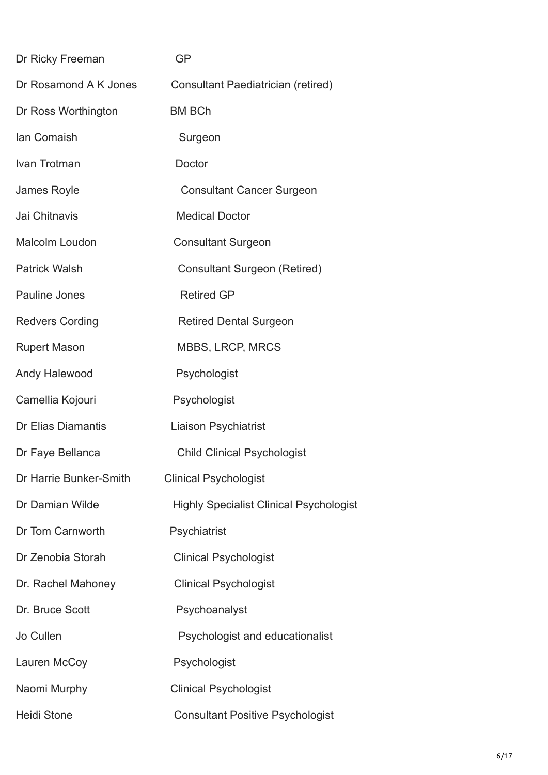| Dr Ricky Freeman       | GP                                             |
|------------------------|------------------------------------------------|
| Dr Rosamond A K Jones  | Consultant Paediatrician (retired)             |
| Dr Ross Worthington    | <b>BM BCh</b>                                  |
| lan Comaish            | Surgeon                                        |
| Ivan Trotman           | Doctor                                         |
| James Royle            | <b>Consultant Cancer Surgeon</b>               |
| Jai Chitnavis          | <b>Medical Doctor</b>                          |
| Malcolm Loudon         | <b>Consultant Surgeon</b>                      |
| <b>Patrick Walsh</b>   | <b>Consultant Surgeon (Retired)</b>            |
| Pauline Jones          | <b>Retired GP</b>                              |
| <b>Redvers Cording</b> | <b>Retired Dental Surgeon</b>                  |
| <b>Rupert Mason</b>    | <b>MBBS, LRCP, MRCS</b>                        |
| Andy Halewood          | Psychologist                                   |
| Camellia Kojouri       | Psychologist                                   |
| Dr Elias Diamantis     | <b>Liaison Psychiatrist</b>                    |
| Dr Faye Bellanca       | <b>Child Clinical Psychologist</b>             |
| Dr Harrie Bunker-Smith | <b>Clinical Psychologist</b>                   |
| Dr Damian Wilde        | <b>Highly Specialist Clinical Psychologist</b> |
| Dr Tom Carnworth       | Psychiatrist                                   |
| Dr Zenobia Storah      | <b>Clinical Psychologist</b>                   |
| Dr. Rachel Mahoney     | <b>Clinical Psychologist</b>                   |
| Dr. Bruce Scott        | Psychoanalyst                                  |
| Jo Cullen              | Psychologist and educationalist                |
| Lauren McCoy           | Psychologist                                   |
| Naomi Murphy           | <b>Clinical Psychologist</b>                   |
| <b>Heidi Stone</b>     | <b>Consultant Positive Psychologist</b>        |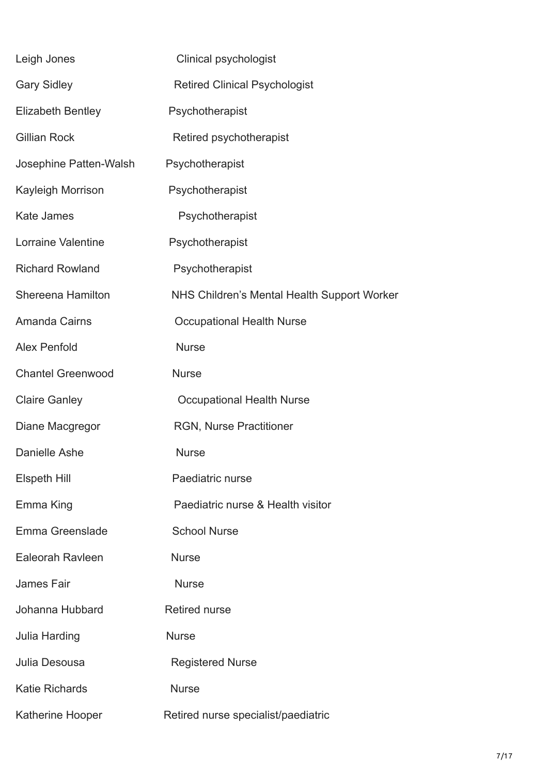| Leigh Jones              | <b>Clinical psychologist</b>                |
|--------------------------|---------------------------------------------|
| <b>Gary Sidley</b>       | <b>Retired Clinical Psychologist</b>        |
| <b>Elizabeth Bentley</b> | Psychotherapist                             |
| <b>Gillian Rock</b>      | Retired psychotherapist                     |
| Josephine Patten-Walsh   | Psychotherapist                             |
| Kayleigh Morrison        | Psychotherapist                             |
| <b>Kate James</b>        | Psychotherapist                             |
| Lorraine Valentine       | Psychotherapist                             |
| <b>Richard Rowland</b>   | Psychotherapist                             |
| Shereena Hamilton        | NHS Children's Mental Health Support Worker |
| <b>Amanda Cairns</b>     | <b>Occupational Health Nurse</b>            |
| <b>Alex Penfold</b>      | <b>Nurse</b>                                |
| <b>Chantel Greenwood</b> | <b>Nurse</b>                                |
| <b>Claire Ganley</b>     | <b>Occupational Health Nurse</b>            |
| Diane Macgregor          | <b>RGN, Nurse Practitioner</b>              |
| Danielle Ashe            | <b>Nurse</b>                                |
| Elspeth Hill             | Paediatric nurse                            |
| Emma King                | Paediatric nurse & Health visitor           |
| Emma Greenslade          | <b>School Nurse</b>                         |
| Ealeorah Ravleen         | <b>Nurse</b>                                |
| <b>James Fair</b>        | <b>Nurse</b>                                |
| Johanna Hubbard          | <b>Retired nurse</b>                        |
| <b>Julia Harding</b>     | <b>Nurse</b>                                |
| Julia Desousa            | <b>Registered Nurse</b>                     |
| <b>Katie Richards</b>    | <b>Nurse</b>                                |
| Katherine Hooper         | Retired nurse specialist/paediatric         |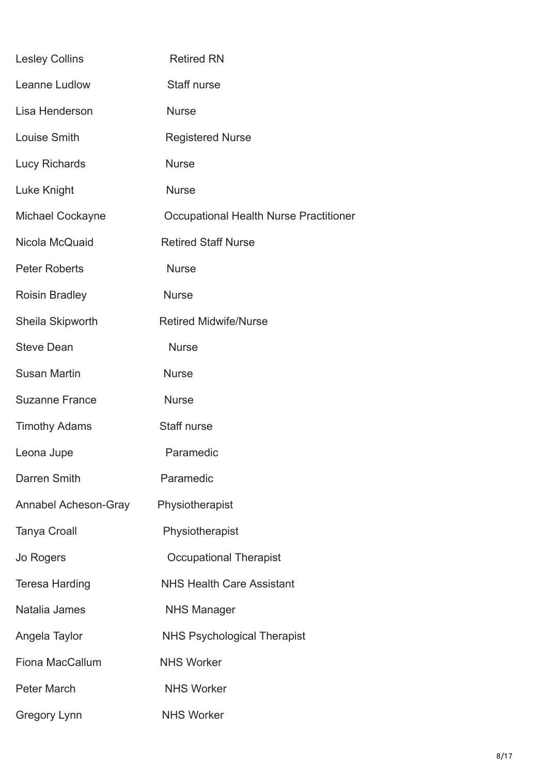| <b>Lesley Collins</b> | <b>Retired RN</b>                      |
|-----------------------|----------------------------------------|
| Leanne Ludlow         | Staff nurse                            |
| Lisa Henderson        | <b>Nurse</b>                           |
| Louise Smith          | <b>Registered Nurse</b>                |
| <b>Lucy Richards</b>  | <b>Nurse</b>                           |
| Luke Knight           | <b>Nurse</b>                           |
| Michael Cockayne      | Occupational Health Nurse Practitioner |
| Nicola McQuaid        | <b>Retired Staff Nurse</b>             |
| <b>Peter Roberts</b>  | <b>Nurse</b>                           |
| <b>Roisin Bradley</b> | <b>Nurse</b>                           |
| Sheila Skipworth      | <b>Retired Midwife/Nurse</b>           |
| <b>Steve Dean</b>     | <b>Nurse</b>                           |
| <b>Susan Martin</b>   | <b>Nurse</b>                           |
| <b>Suzanne France</b> | <b>Nurse</b>                           |
| <b>Timothy Adams</b>  | Staff nurse                            |
| Leona Jupe            | Paramedic                              |
| Darren Smith          | Paramedic                              |
| Annabel Acheson-Gray  | Physiotherapist                        |
| <b>Tanya Croall</b>   | Physiotherapist                        |
| Jo Rogers             | <b>Occupational Therapist</b>          |
| <b>Teresa Harding</b> | <b>NHS Health Care Assistant</b>       |
| Natalia James         | <b>NHS Manager</b>                     |
| Angela Taylor         | <b>NHS Psychological Therapist</b>     |
| Fiona MacCallum       | <b>NHS Worker</b>                      |
| <b>Peter March</b>    | <b>NHS Worker</b>                      |
| <b>Gregory Lynn</b>   | <b>NHS Worker</b>                      |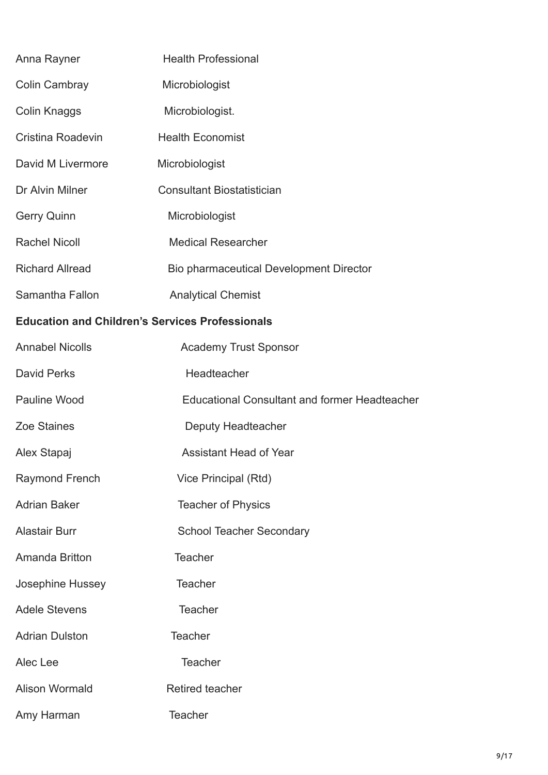| Anna Rayner                                            | <b>Health Professional</b>                           |  |
|--------------------------------------------------------|------------------------------------------------------|--|
| Colin Cambray                                          | Microbiologist                                       |  |
| <b>Colin Knaggs</b>                                    | Microbiologist.                                      |  |
| Cristina Roadevin                                      | <b>Health Economist</b>                              |  |
| David M Livermore                                      | Microbiologist                                       |  |
| Dr Alvin Milner                                        | <b>Consultant Biostatistician</b>                    |  |
| <b>Gerry Quinn</b>                                     | Microbiologist                                       |  |
| <b>Rachel Nicoll</b>                                   | <b>Medical Researcher</b>                            |  |
| <b>Richard Allread</b>                                 | Bio pharmaceutical Development Director              |  |
| Samantha Fallon                                        | <b>Analytical Chemist</b>                            |  |
| <b>Education and Children's Services Professionals</b> |                                                      |  |
| <b>Annabel Nicolls</b>                                 | <b>Academy Trust Sponsor</b>                         |  |
| <b>David Perks</b>                                     | Headteacher                                          |  |
| <b>Pauline Wood</b>                                    | <b>Educational Consultant and former Headteacher</b> |  |
| <b>Zoe Staines</b>                                     | Deputy Headteacher                                   |  |
| Alex Stapaj                                            | <b>Assistant Head of Year</b>                        |  |
| <b>Raymond French</b>                                  | Vice Principal (Rtd)                                 |  |
| <b>Adrian Baker</b>                                    | <b>Teacher of Physics</b>                            |  |
| <b>Alastair Burr</b>                                   | <b>School Teacher Secondary</b>                      |  |
| Amanda Britton                                         | <b>Teacher</b>                                       |  |
| Josephine Hussey                                       | <b>Teacher</b>                                       |  |
| <b>Adele Stevens</b>                                   | <b>Teacher</b>                                       |  |
| <b>Adrian Dulston</b>                                  | <b>Teacher</b>                                       |  |
| Alec Lee                                               | <b>Teacher</b>                                       |  |
| <b>Alison Wormald</b>                                  | <b>Retired teacher</b>                               |  |
| Amy Harman                                             | <b>Teacher</b>                                       |  |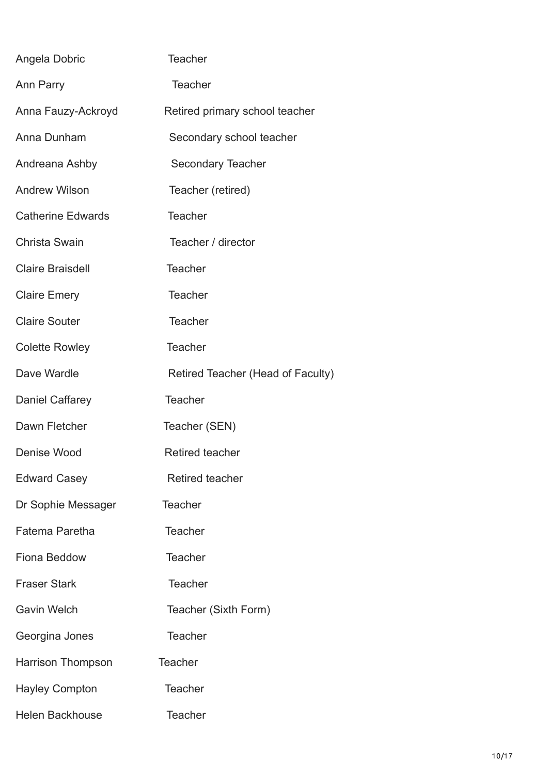| Angela Dobric            | <b>Teacher</b>                    |
|--------------------------|-----------------------------------|
| Ann Parry                | <b>Teacher</b>                    |
| Anna Fauzy-Ackroyd       | Retired primary school teacher    |
| Anna Dunham              | Secondary school teacher          |
| Andreana Ashby           | Secondary Teacher                 |
| <b>Andrew Wilson</b>     | Teacher (retired)                 |
| <b>Catherine Edwards</b> | <b>Teacher</b>                    |
| <b>Christa Swain</b>     | Teacher / director                |
| <b>Claire Braisdell</b>  | <b>Teacher</b>                    |
| <b>Claire Emery</b>      | <b>Teacher</b>                    |
| <b>Claire Souter</b>     | <b>Teacher</b>                    |
| <b>Colette Rowley</b>    | <b>Teacher</b>                    |
| Dave Wardle              | Retired Teacher (Head of Faculty) |
| Daniel Caffarey          | <b>Teacher</b>                    |
| Dawn Fletcher            | Teacher (SEN)                     |
| Denise Wood              | <b>Retired teacher</b>            |
| <b>Edward Casey</b>      | <b>Retired teacher</b>            |
| Dr Sophie Messager       | <b>Teacher</b>                    |
| Fatema Paretha           | <b>Teacher</b>                    |
| <b>Fiona Beddow</b>      | <b>Teacher</b>                    |
| <b>Fraser Stark</b>      | <b>Teacher</b>                    |
| <b>Gavin Welch</b>       | Teacher (Sixth Form)              |
| Georgina Jones           | <b>Teacher</b>                    |
| <b>Harrison Thompson</b> | <b>Teacher</b>                    |
| <b>Hayley Compton</b>    | <b>Teacher</b>                    |
| <b>Helen Backhouse</b>   | <b>Teacher</b>                    |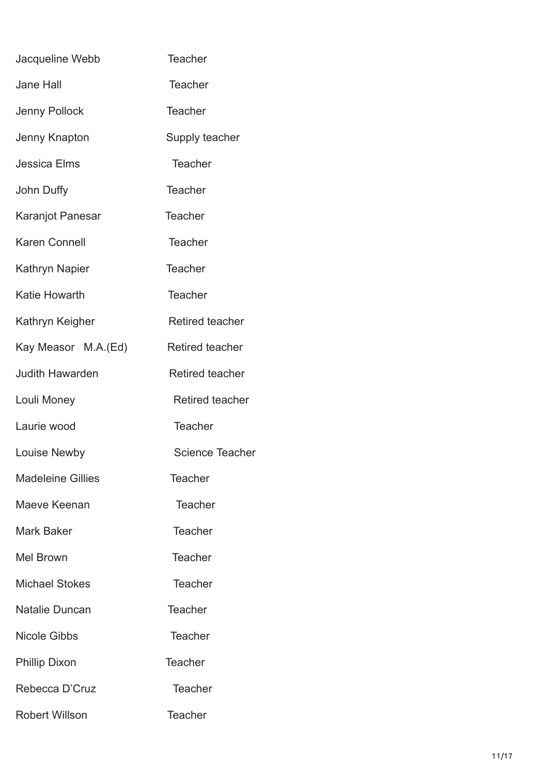| Jacqueline Webb          | <b>Teacher</b>         |
|--------------------------|------------------------|
| <b>Jane Hall</b>         | <b>Teacher</b>         |
| Jenny Pollock            | <b>Teacher</b>         |
| Jenny Knapton            | Supply teacher         |
| <b>Jessica Elms</b>      | <b>Teacher</b>         |
| John Duffy               | <b>Teacher</b>         |
| Karanjot Panesar         | <b>Teacher</b>         |
| <b>Karen Connell</b>     | <b>Teacher</b>         |
| Kathryn Napier           | <b>Teacher</b>         |
| <b>Katie Howarth</b>     | <b>Teacher</b>         |
| Kathryn Keigher          | <b>Retired teacher</b> |
| Kay Measor M.A.(Ed)      | <b>Retired teacher</b> |
| <b>Judith Hawarden</b>   | <b>Retired teacher</b> |
| Louli Money              | <b>Retired teacher</b> |
| Laurie wood              | <b>Teacher</b>         |
| Louise Newby             | <b>Science Teacher</b> |
| <b>Madeleine Gillies</b> | <b>Teacher</b>         |
| Maeve Keenan             | <b>Teacher</b>         |
|                          |                        |
| Mark Baker               | <b>Teacher</b>         |
| Mel Brown                | <b>Teacher</b>         |
| <b>Michael Stokes</b>    | <b>Teacher</b>         |
| Natalie Duncan           | <b>Teacher</b>         |
| <b>Nicole Gibbs</b>      | Teacher                |
| <b>Phillip Dixon</b>     | Teacher                |
| Rebecca D'Cruz           | <b>Teacher</b>         |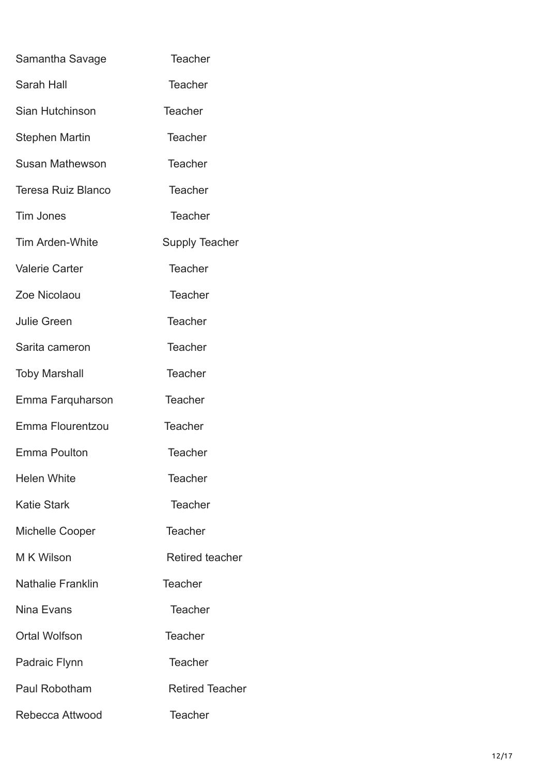| Samantha Savage           | <b>Teacher</b>         |
|---------------------------|------------------------|
| <b>Sarah Hall</b>         | <b>Teacher</b>         |
| Sian Hutchinson           | <b>Teacher</b>         |
| <b>Stephen Martin</b>     | <b>Teacher</b>         |
| <b>Susan Mathewson</b>    | <b>Teacher</b>         |
| <b>Teresa Ruiz Blanco</b> | <b>Teacher</b>         |
| Tim Jones                 | <b>Teacher</b>         |
| Tim Arden-White           | <b>Supply Teacher</b>  |
| <b>Valerie Carter</b>     | <b>Teacher</b>         |
| Zoe Nicolaou              | <b>Teacher</b>         |
| <b>Julie Green</b>        | <b>Teacher</b>         |
| Sarita cameron            | <b>Teacher</b>         |
| <b>Toby Marshall</b>      | <b>Teacher</b>         |
| Emma Farquharson          | <b>Teacher</b>         |
| Emma Flourentzou          | <b>Teacher</b>         |
| Emma Poulton              | <b>Teacher</b>         |
| <b>Helen White</b>        | Teacher                |
| <b>Katie Stark</b>        | <b>Teacher</b>         |
| <b>Michelle Cooper</b>    | <b>Teacher</b>         |
| M K Wilson                | <b>Retired teacher</b> |
| <b>Nathalie Franklin</b>  | <b>Teacher</b>         |
| Nina Evans                | <b>Teacher</b>         |
| <b>Ortal Wolfson</b>      | Teacher                |
| Padraic Flynn             | <b>Teacher</b>         |
| Paul Robotham             | <b>Retired Teacher</b> |
| Rebecca Attwood           | <b>Teacher</b>         |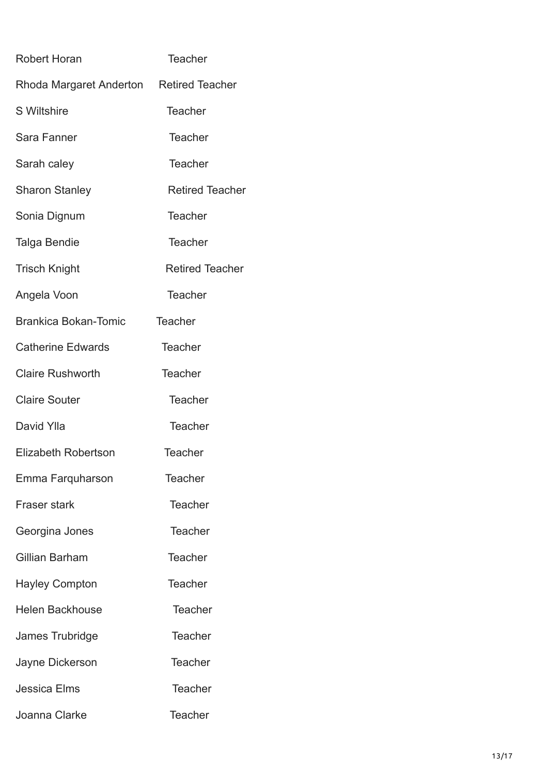| Robert Horan                            | <b>Teacher</b>         |
|-----------------------------------------|------------------------|
| Rhoda Margaret Anderton Retired Teacher |                        |
| <b>S</b> Wiltshire                      | <b>Teacher</b>         |
| Sara Fanner                             | <b>Teacher</b>         |
| Sarah caley                             | <b>Teacher</b>         |
| <b>Sharon Stanley</b>                   | <b>Retired Teacher</b> |
| Sonia Dignum                            | <b>Teacher</b>         |
| Talga Bendie                            | <b>Teacher</b>         |
| <b>Trisch Knight</b>                    | <b>Retired Teacher</b> |
| Angela Voon                             | <b>Teacher</b>         |
| <b>Brankica Bokan-Tomic</b>             | <b>Teacher</b>         |
| <b>Catherine Edwards</b>                | <b>Teacher</b>         |
| <b>Claire Rushworth</b>                 | <b>Teacher</b>         |
| <b>Claire Souter</b>                    | <b>Teacher</b>         |
| David Ylla                              | <b>Teacher</b>         |
| <b>Elizabeth Robertson</b>              | <b>Teacher</b>         |
| Emma Farquharson                        | <b>Teacher</b>         |
| <b>Fraser stark</b>                     | <b>Teacher</b>         |
| Georgina Jones                          | <b>Teacher</b>         |
| Gillian Barham                          | <b>Teacher</b>         |
| <b>Hayley Compton</b>                   | <b>Teacher</b>         |
| <b>Helen Backhouse</b>                  | <b>Teacher</b>         |
| James Trubridge                         | <b>Teacher</b>         |
| Jayne Dickerson                         | Teacher                |
| <b>Jessica Elms</b>                     | <b>Teacher</b>         |
| Joanna Clarke                           | <b>Teacher</b>         |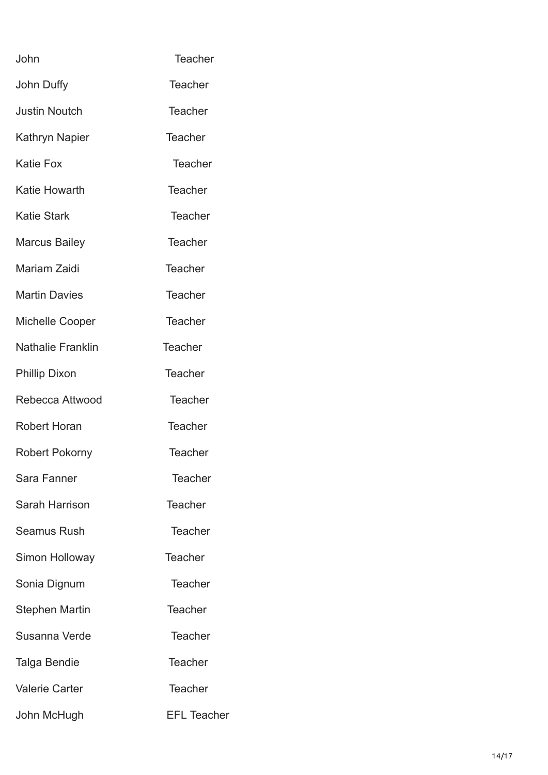| John                     | <b>Teacher</b>     |
|--------------------------|--------------------|
| John Duffy               | <b>Teacher</b>     |
| <b>Justin Noutch</b>     | <b>Teacher</b>     |
| Kathryn Napier           | <b>Teacher</b>     |
| <b>Katie Fox</b>         | <b>Teacher</b>     |
| <b>Katie Howarth</b>     | <b>Teacher</b>     |
| <b>Katie Stark</b>       | <b>Teacher</b>     |
| <b>Marcus Bailey</b>     | <b>Teacher</b>     |
| Mariam Zaidi             | <b>Teacher</b>     |
| <b>Martin Davies</b>     | <b>Teacher</b>     |
| <b>Michelle Cooper</b>   | <b>Teacher</b>     |
| <b>Nathalie Franklin</b> | <b>Teacher</b>     |
| <b>Phillip Dixon</b>     | <b>Teacher</b>     |
| Rebecca Attwood          | <b>Teacher</b>     |
| <b>Robert Horan</b>      | <b>Teacher</b>     |
| Robert Pokorny           | <b>Teacher</b>     |
| Sara Fanner              | <b>Teacher</b>     |
| Sarah Harrison           | <b>Teacher</b>     |
| <b>Seamus Rush</b>       | <b>Teacher</b>     |
| Simon Holloway           | <b>Teacher</b>     |
| Sonia Dignum             | <b>Teacher</b>     |
| <b>Stephen Martin</b>    | <b>Teacher</b>     |
| Susanna Verde            | <b>Teacher</b>     |
| Talga Bendie             | <b>Teacher</b>     |
| <b>Valerie Carter</b>    | <b>Teacher</b>     |
| John McHugh              | <b>EFL Teacher</b> |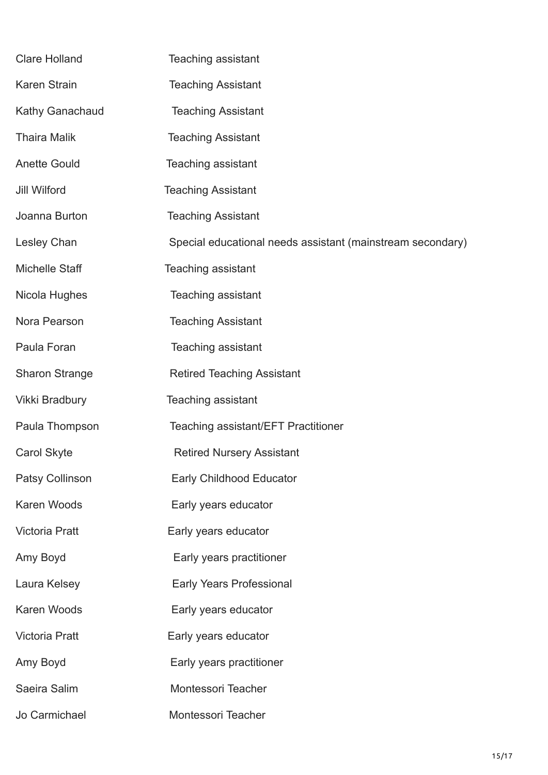| <b>Clare Holland</b>   | Teaching assistant                                         |
|------------------------|------------------------------------------------------------|
| <b>Karen Strain</b>    | <b>Teaching Assistant</b>                                  |
| Kathy Ganachaud        | <b>Teaching Assistant</b>                                  |
| <b>Thaira Malik</b>    | <b>Teaching Assistant</b>                                  |
| <b>Anette Gould</b>    | Teaching assistant                                         |
| <b>Jill Wilford</b>    | <b>Teaching Assistant</b>                                  |
| Joanna Burton          | <b>Teaching Assistant</b>                                  |
| Lesley Chan            | Special educational needs assistant (mainstream secondary) |
| <b>Michelle Staff</b>  | Teaching assistant                                         |
| Nicola Hughes          | Teaching assistant                                         |
| Nora Pearson           | <b>Teaching Assistant</b>                                  |
| Paula Foran            | <b>Teaching assistant</b>                                  |
| <b>Sharon Strange</b>  | <b>Retired Teaching Assistant</b>                          |
| Vikki Bradbury         | <b>Teaching assistant</b>                                  |
| Paula Thompson         | Teaching assistant/EFT Practitioner                        |
| <b>Carol Skyte</b>     | <b>Retired Nursery Assistant</b>                           |
| <b>Patsy Collinson</b> | <b>Early Childhood Educator</b>                            |
| Karen Woods            | Early years educator                                       |
| <b>Victoria Pratt</b>  | Early years educator                                       |
| Amy Boyd               | Early years practitioner                                   |
| Laura Kelsey           | <b>Early Years Professional</b>                            |
| Karen Woods            | Early years educator                                       |
| <b>Victoria Pratt</b>  | Early years educator                                       |
| Amy Boyd               | Early years practitioner                                   |
| Saeira Salim           | Montessori Teacher                                         |
| Jo Carmichael          | Montessori Teacher                                         |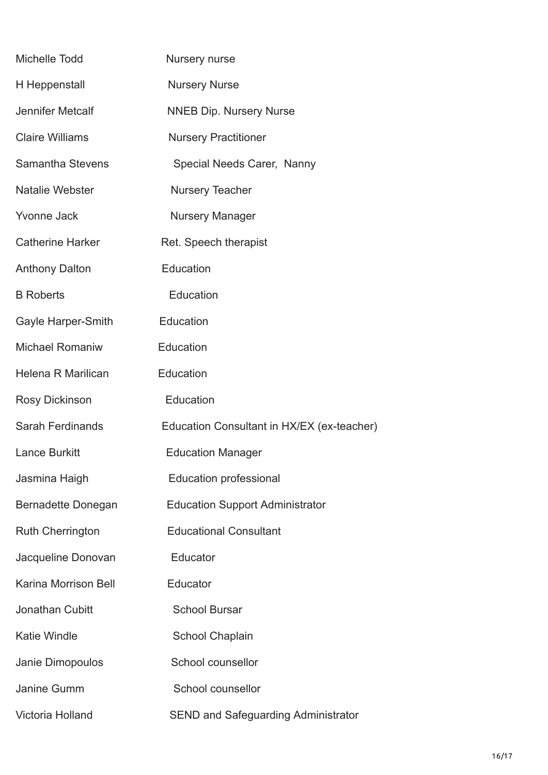| Michelle Todd               | Nursery nurse                              |
|-----------------------------|--------------------------------------------|
| H Heppenstall               | <b>Nursery Nurse</b>                       |
| <b>Jennifer Metcalf</b>     | <b>NNEB Dip. Nursery Nurse</b>             |
| <b>Claire Williams</b>      | <b>Nursery Practitioner</b>                |
| <b>Samantha Stevens</b>     | Special Needs Carer, Nanny                 |
| <b>Natalie Webster</b>      | <b>Nursery Teacher</b>                     |
| <b>Yvonne Jack</b>          | <b>Nursery Manager</b>                     |
| <b>Catherine Harker</b>     | Ret. Speech therapist                      |
| <b>Anthony Dalton</b>       | Education                                  |
| <b>B</b> Roberts            | Education                                  |
| Gayle Harper-Smith          | Education                                  |
| <b>Michael Romaniw</b>      | Education                                  |
| Helena R Marilican          | Education                                  |
| <b>Rosy Dickinson</b>       | Education                                  |
| <b>Sarah Ferdinands</b>     | Education Consultant in HX/EX (ex-teacher) |
| <b>Lance Burkitt</b>        | <b>Education Manager</b>                   |
| Jasmina Haigh               | <b>Education professional</b>              |
| Bernadette Donegan          | <b>Education Support Administrator</b>     |
| <b>Ruth Cherrington</b>     | <b>Educational Consultant</b>              |
| Jacqueline Donovan          | Educator                                   |
| <b>Karina Morrison Bell</b> | Educator                                   |
| Jonathan Cubitt             | <b>School Bursar</b>                       |
| <b>Katie Windle</b>         | <b>School Chaplain</b>                     |
| Janie Dimopoulos            | School counsellor                          |
| Janine Gumm                 | School counsellor                          |
| Victoria Holland            | <b>SEND and Safeguarding Administrator</b> |